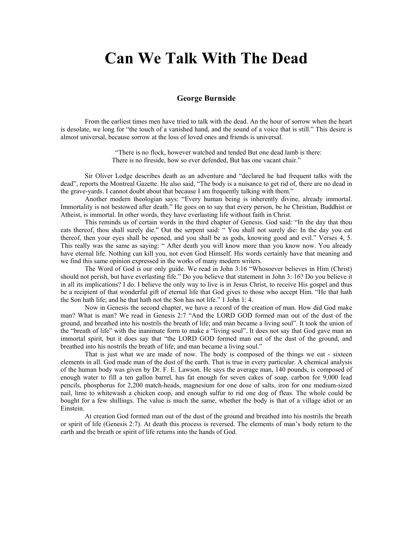## **Can We Talk With The Dead**

## **George Burnside**

From the earliest times men have tried to talk with the dead. An the hour of sorrow when the heart is desolate, w[e long for "the touch of a vanished hand, and the sound of a voice that is still."](http://www.maranathamedia.com.au/) This desire is almost universal, because sorrow at the loss of loved ones and friends is universal.

> "There is no flock, however watched and tended But one dead lamb is there: There is no fireside, how so ever defended, But has one vacant chair."

Sir Oliver Lodge describes death as an adventure and "declared he had frequent talks with the dead", reports the Montreal Gazette. He also said, "The body is a nuisance to get rid of, there are no dead in the grave-yards. I cannot doubt about that because I am frequently talking with them."

Another modern theologian says: "Every human being is inherently divine, already immortal. Immortality is not bestowed after death." He goes on to say that every person, be he Christian, Buddhist or Atheist, is immortal. In other words, they have everlasting life without faith in Christ.

This reminds us of certain words in the third chapter of Genesis. God said: "In the day that thou eats thereof, thou shall surely die." Out the serpent said: " You shall not surely die: In the day you eat thereof, then your eyes shall be opened, and you shall be as gods, knowing good and evil." Verses 4, 5. This really was the same as saying: " After death you will know more than you know now. You already have eternal life. Nothing can kill you, not even God Himself. His words certainly have that meaning and we find this same opinion expressed in the works of many modern writers.

The Word of God is our only guide. We read in John 3:16 "Whosoever believes in Him (Christ) should not perish, but have everlasting fife." Do you believe that statement in John 3: 16? Do you believe it in all its implications? I do. I believe the only way to live is in Jesus Christ, to receive His gospel and thus be a recipient of that wonderful gift of eternal life that God gives to those who accept Him. "He that hath the Son hath life; and he that hath not the Son has not life." 1 John 1: 4.

Now in Genesis the second chapter, we have a record of the creation of man. How did God make man? What is man? We read in Genesis 2:7 "And the LORD GOD formed man out of the dust of the ground, and breathed into his nostrils the breath of life; and man became a living soul". It took the union of the "breath of life" with the inanimate form to make a "living soul". It does not say that God gave man an immortal spirit, but it does say that "the LORD GOD formed man out of the dust of the ground, and breathed into his nostrils the breath of life; and man became a living soul."

That is just what we are made of now. The body is composed of the things we eat - sixteen elements in all. God made man of the dust of the earth. That is true in every particular. A chemical analysis of the human body was given by Dr. F. E. Lawson. He says the average man, 140 pounds, is composed of enough water to fill a ten gallon barrel, has fat enough for seven cakes of soap, carbon for 9,000 lead pencils, phosphorus for 2,200 match-heads, magnesium for one dose of salts, iron for one medium-sized nail, lime to whitewash a chicken coop, and enough sulfur to rid one dog of fleas. The whole could be bought for a few shillings. The value is much the same, whether the body is that of a village idiot or an Einstein.

At creation God formed man out of the dust of the ground and breathed into his nostrils the breath or spirit of life (Genesis 2:7). At death this process is reversed. The elements of man's body return to the earth and the breath or spirit of life returns into the hands of God.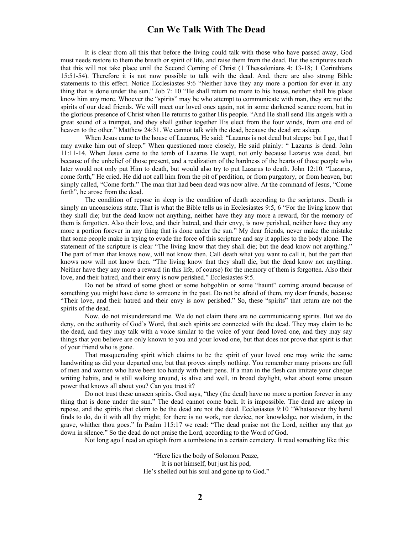## **Can We Talk With The Dead**

It is clear from all this that before the living could talk with those who have passed away, God must needs restore to them the breath or spirit of life, and raise them from the dead. But the scriptures teach that this will not take place until the Second Coming of Christ (1 Thessalonians 4: 13-18; 1 Corinthians 15:51-54). Therefore it is not now possible to talk with the dead. And, there are also strong Bible statements to this effect. Notice Ecclesiastes 9:6 "Neither have they any more a portion for ever in any thing that is done under the sun." Job 7: 10 "He shall return no more to his house, neither shall his place know him any more. Whoever the "spirits" may be who attempt to communicate with man, they are not the spirits of our dead friends. We will meet our loved ones again, not in some darkened seance room, but in the glorious presence of Christ when He returns to gather His people. "And He shall send His angels with a great sound of a trumpet, and they shall gather together His elect from the four winds, from one end of heaven to the other." Matthew 24:31. We cannot talk with the dead, because the dead are asleep.

When Jesus came to the house of Lazarus, He said: "Lazarus is not dead but sleeps: but I go, that I may awake him out of sleep." When questioned more closely, He said plainly: " Lazarus is dead. John 11:11-14. When Jesus came to the tomb of Lazarus He wept, not only because Lazarus was dead, but because of the unbelief of those present, and a realization of the hardness of the hearts of those people who later would not only put Him to death, but would also try to put Lazarus to death. John 12:10. "Lazarus, come forth," He cried. He did not call him from the pit of perdition, or from purgatory, or from heaven, but simply called, "Come forth." The man that had been dead was now alive. At the command of Jesus, "Come forth", he arose from the dead.

The condition of repose in sleep is the condition of death according to the scriptures. Death is simply an unconscious state. That is what the Bible tells us in Ecclesiastes 9:5, 6 "For the living know that they shall die; but the dead know not anything, neither have they any more a reward, for the memory of them is forgotten. Also their love, and their hatred, and their envy, is now perished, neither have they any more a portion forever in any thing that is done under the sun." My dear friends, never make the mistake that some people make in trying to evade the force of this scripture and say it applies to the body alone. The statement of the scripture is clear "The living know that they shall die; but the dead know not anything." The part of man that knows now, will not know then. Call death what you want to call it, but the part that knows now will not know then. "The living know that they shall die, but the dead know not anything. Neither have they any more a reward (in this life, of course) for the memory of them is forgotten. Also their love, and their hatred, and their envy is now perished." Ecclesiastes 9:5.

Do not be afraid of some ghost or some hobgoblin or some "haunt" coming around because of something you might have done to someone in the past. Do not be afraid of them, my dear friends, because "Their love, and their hatred and their envy is now perished." So, these "spirits" that return are not the spirits of the dead.

Now, do not misunderstand me. We do not claim there are no communicating spirits. But we do deny, on the authority of God's Word, that such spirits are connected with the dead. They may claim to be the dead, and they may talk with a voice similar to the voice of your dead loved one, and they may say things that you believe are only known to you and your loved one, but that does not prove that spirit is that of your friend who is gone.

That masquerading spirit which claims to be the spirit of your loved one may write the same handwriting as did your departed one, but that proves simply nothing. You remember many prisons are full of men and women who have been too handy with their pens. If a man in the flesh can imitate your cheque writing habits, and is still walking around, is alive and well, in broad daylight, what about some unseen power that knows all about you? Can you trust it?

Do not trust these unseen spirits. God says, "they (the dead) have no more a portion forever in any thing that is done under the sun." The dead cannot come back. It is impossible. The dead are asleep in repose, and the spirits that claim to be the dead are not the dead. Ecclesiastes 9:10 "Whatsoever thy hand finds to do, do it with all thy might; for there is no work, nor device, nor knowledge, nor wisdom, in the grave, whither thou goes." In Psalm 115:17 we read: "The dead praise not the Lord, neither any that go down in silence." So the dead do not praise the Lord, according to the Word of God.

Not long ago I read an epitaph from a tombstone in a certain cemetery. It read something like this:

"Here lies the body of Solomon Peaze, It is not himself, but just his pod, He's shelled out his soul and gone up to God."